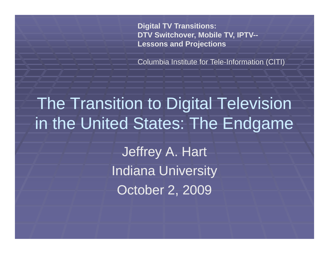**Digital TV Transitions: DTV Switchover, Mobile TV, IPTV-- Lessons and Projections**

Columbia Institute for Tele-Information (CITI)

# The Transition to Digital Television in the United States: The Endgame

Jeffrey A. Hart Indiana University October 2, 2009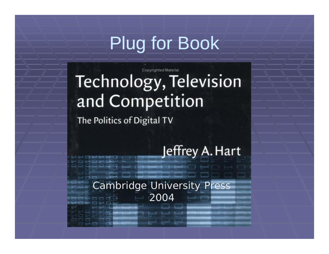# Plug for Book

## **Copyrighted Material** Technology, Television and Competition

The Politics of Digital TV

Jeffrey A. Hart

Cambridge University Press 2004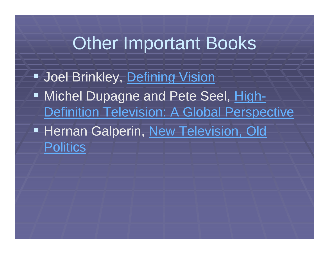# Other Important Books ■ Joel Brinkley, <u>Defining Vision</u> **Nichel Dupagne and Pete Seel, High-**Definition Television: A Global Perspective **Hernan Galperin, New Television, Old +** Politics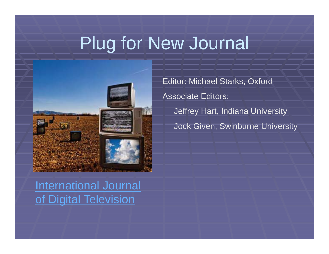# Plug for New Journal



### International Journal of Digital Television

Editor: Michael Starks, Oxford Associate Editors: Jeffrey Hart, Indiana University Jock Given, Swinburne University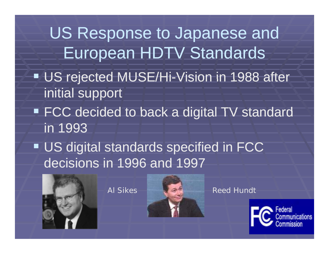US Response to Japanese and European HDTV Standards ■ US rejected MUSE/Hi-Vision in 1988 after initial support ■ FCC decided to back a digital TV standard in 1993 " US digital standards specified in FCC decisions in 1996 and 1997



Al Sikes



Reed Hundt

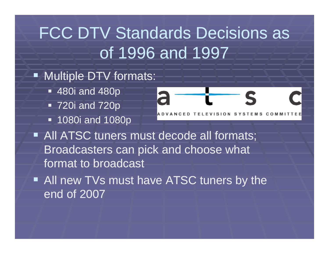#### FCC DTV Standards Decisions as of 1996 and 1997

#### • Multiple DTV formats:

- 480i and 480p
- 720i and 720p
- **1080i and 1080p**



- All ATSC tuners must decode all formats; Broadcasters can pick and choose what format to broadcast
- All new TVs must have ATSC tuners by the end of 2007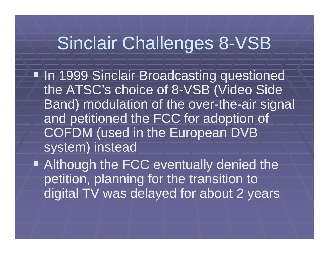#### Sinclair Challenges 8 8-VSB

- **In 1999 Sinclair Broadcasting questioned** the ATSC's choice of 8-VSB (Video Side Band) modulation of the over-the-air signal and petitioned the FCC for adoption of COFDM (used in the European DVB system) instead
- **Although the FCC eventually denied the** petition, planning for the transition to digital TV was delayed for about 2 years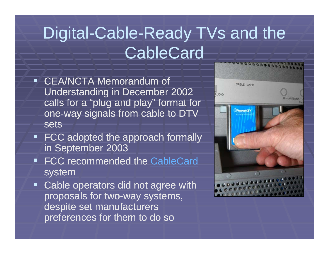# Digital-Cable-Ready TVs and the **CableCard**

- CEA/NCTA Memorandum of Understanding in December 2002 calls for a "plug and play" format for one-way signals from cable to DTV sets
- FCC adopted the approach formally in September 2003
- FCC recommended the CableCard system
- Cable operators did not agree with proposals for two-way systems, despite set manufacturers preferences for them to do so

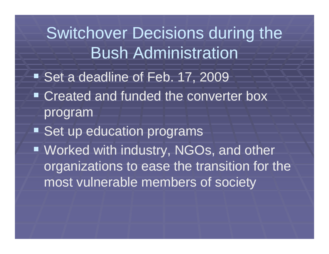Switchover Decisions during the Bush Administration ■ Set a deadline of Feb. 17, 2009 ■ Created and funded the converter box program **Set up education programs** ■ Worked with industry, NGOs, and other organizations to ease the transition for the most vulnerable members of society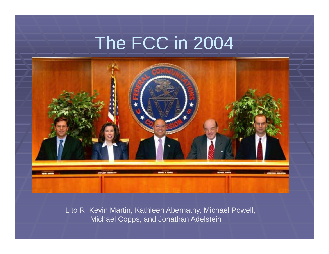# The FCC in 2004



L to R: Kevin Martin, Kathleen Abernathy, Michael Powell, Michael Copps, and Jonathan Adelstein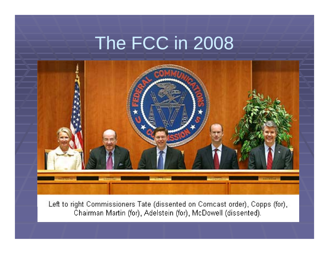# The FCC in 2008



Left to right Commissioners Tate (dissented on Comcast order), Copps (for), Chairman Martin (for), Adelstein (for), McDowell (dissented).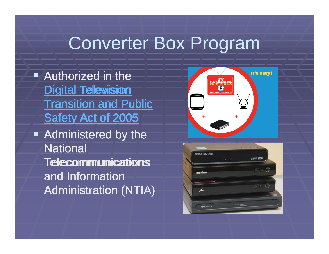# Converter Box Program

- Authorized in the Authorized in the<br><u>Digital T**ele**wision</u> Transition and Public Transition and Public Safety Act of 2005 Safety Act of 2005
- **E** Administered by the **National** Telecommunications Telecommunications and Information Administration (NTIA) Administration

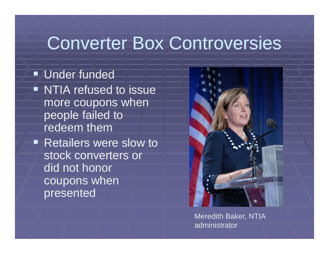## Converter Box Controversies

- **Under funded NTIA refused to issue** more coupons when people failed to redeem them
- Retailers were slow to stock converters or did not honor coupons when presented



Meredith Baker, NTIA administrator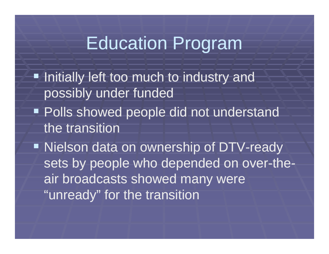# Education Program

- $\blacksquare$  Initially left too much to industry and possibly under funded
- **Polls showed people did not understand** the transition
- Nielson data on ownership of DTV-ready sets by people who depended on over-theair broadcasts showed many were "unready" for the transition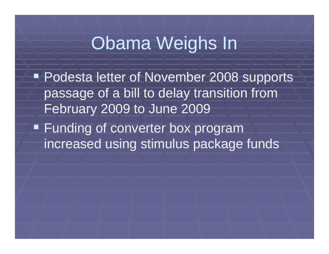## Obama Weighs In

**Podesta letter of November 2008 supports** passage of a bill to delay transition from February 2009 to June 2009

**Funding of converter box program** increased using stimulus package funds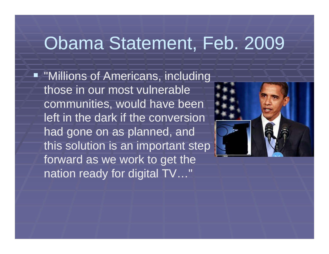# Obama Statement, Feb. 2009

**" "Millions of Americans, including** those in our most vulnerable communities, would have been left in the dark if the conversion had gone on as planned, and this solution is an important step i forward as we work to get the nation ready for digital TV..."

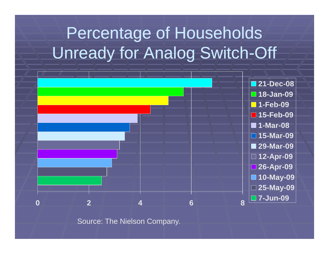# Percentage of Households Unready for Analog Switch-Off



Source: The Nielson Company.